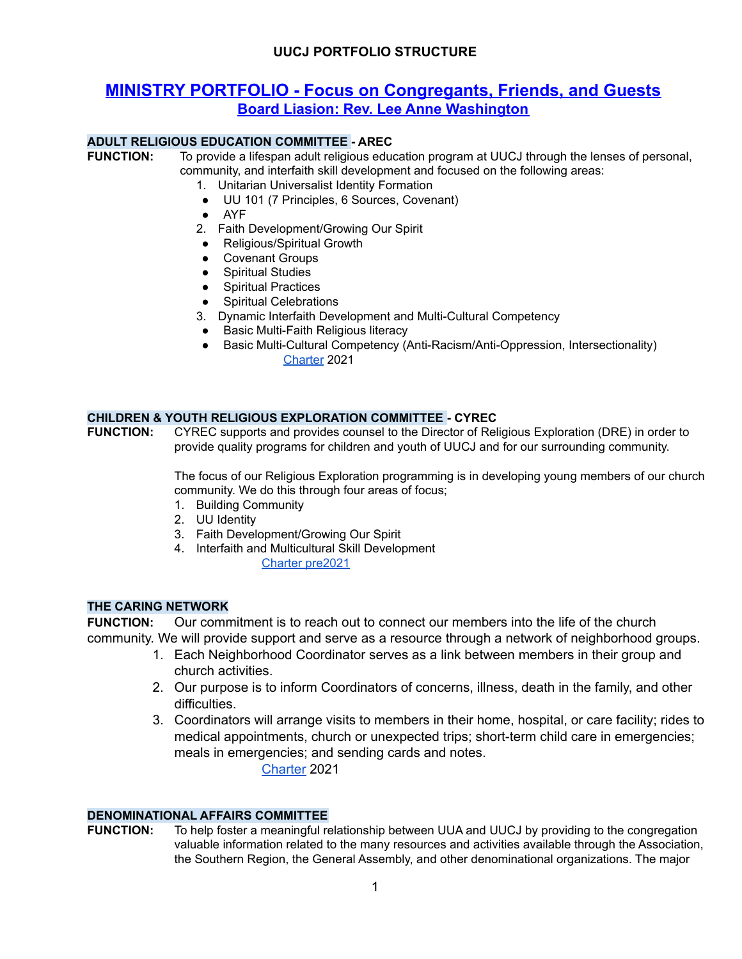# **MINISTRY PORTFOLIO - Focus on Congregants, Friends, and Guests Board Liasion: Rev. Lee Anne Washington**

#### **ADULT RELIGIOUS EDUCATION COMMITTEE - AREC**

**FUNCTION:** To provide a lifespan adult religious education program at UUCJ through the lenses of personal, community, and interfaith skill development and focused on the following areas:

- 1. Unitarian Universalist Identity Formation
- UU 101 (7 Principles, 6 Sources, Covenant)
- AYF
- 2. Faith Development/Growing Our Spirit
- Religious/Spiritual Growth
- Covenant Groups
- Spiritual Studies
- Spiritual Practices
- Spiritual Celebrations
- 3. Dynamic Interfaith Development and Multi-Cultural Competency
- **●** Basic Multi-Faith Religious literacy
- Basic Multi-Cultural Competency (Anti-Racism/Anti-Oppression, Intersectionality) [Charter](https://docs.google.com/document/d/1GL2qLwn0eUZgREk1u9PmWEMceZrHIB3-/edit?usp=sharing&ouid=108618410980892576551&rtpof=true&sd=true) 2021

#### **CHILDREN & YOUTH RELIGIOUS EXPLORATION COMMITTEE - CYREC**

**FUNCTION:** CYREC supports and provides counsel to the Director of Religious Exploration (DRE) in order to provide quality programs for children and youth of UUCJ and for our surrounding community.

> The focus of our Religious Exploration programming is in developing young members of our church community. We do this through four areas of focus;

- 1. Building Community
- 2. UU Identity
- 3. Faith Development/Growing Our Spirit
- 4. Interfaith and Multicultural Skill Development Charter [pre2021](https://docs.google.com/document/d/14oeKiezKYv4lylVs-H4QIuWvBWG4RcBQ/edit?usp=sharing&ouid=108618410980892576551&rtpof=true&sd=true)

#### **THE CARING NETWORK**

**FUNCTION:** Our commitment is to reach out to connect our members into the life of the church community. We will provide support and serve as a resource through a network of neighborhood groups.

- 1. Each Neighborhood Coordinator serves as a link between members in their group and church activities.
- 2. Our purpose is to inform Coordinators of concerns, illness, death in the family, and other difficulties.
- 3. Coordinators will arrange visits to members in their home, hospital, or care facility; rides to medical appointments, church or unexpected trips; short-term child care in emergencies; meals in emergencies; and sending cards and notes.

[Charter](https://docs.google.com/document/d/1hSqq5Y8bPiC_YcGcGsXMf4eCulFXzWhL/edit?usp=sharing&ouid=108618410980892576551&rtpof=true&sd=true) 2021

#### **DENOMINATIONAL AFFAIRS COMMITTEE**

**FUNCTION:** To help foster a meaningful relationship between UUA and UUCJ by providing to the congregation valuable information related to the many resources and activities available through the Association, the Southern Region, the General Assembly, and other denominational organizations. The major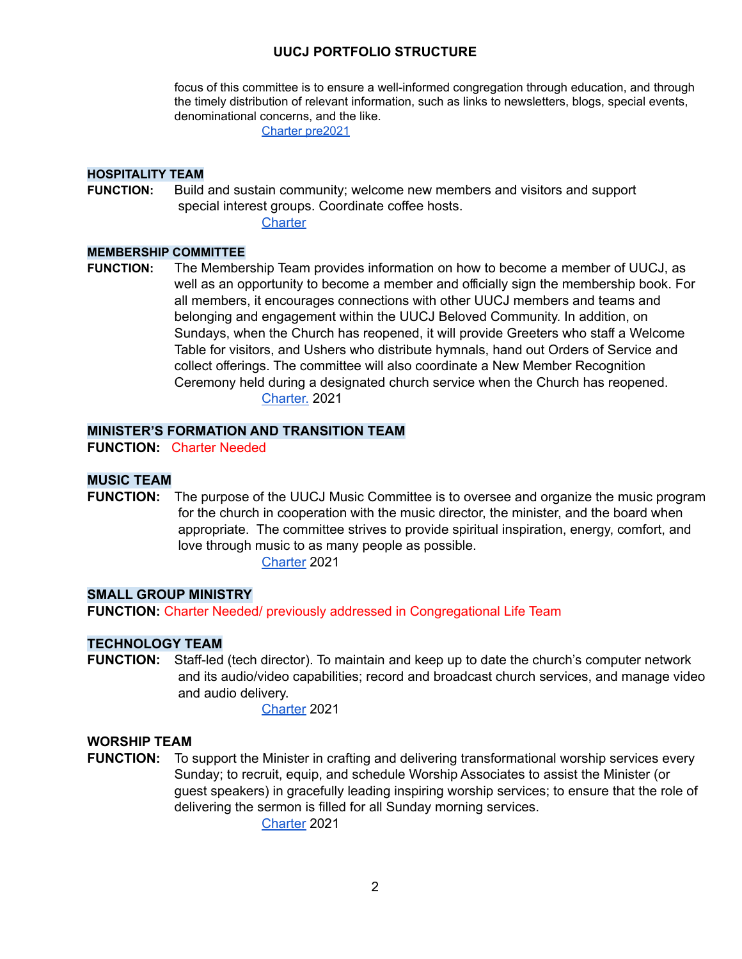focus of this committee is to ensure a well-informed congregation through education, and through the timely distribution of relevant information, such as links to newsletters, blogs, special events, denominational concerns, and the like.

Charter [pre2021](https://docs.google.com/document/d/1uXZ6joO68k_XLQT8cRdK7GLOrBnPkGmu/edit?usp=sharing&ouid=108618410980892576551&rtpof=true&sd=true)

#### **HOSPITALITY TEAM**

**FUNCTION:** Build and sustain community; welcome new members and visitors and support special interest groups. Coordinate coffee hosts.

**[Charter](https://docs.google.com/document/d/1AgjG8fB2GBVM8LZpAEf0B4kxDt15Ij6G/edit?usp=sharing&ouid=108618410980892576551&rtpof=true&sd=true)** 

#### **MEMBERSHIP COMMITTEE**

**FUNCTION:** The Membership Team provides information on how to become a member of UUCJ, as well as an opportunity to become a member and officially sign the membership book. For all members, it encourages connections with other UUCJ members and teams and belonging and engagement within the UUCJ Beloved Community. In addition, on Sundays, when the Church has reopened, it will provide Greeters who staff a Welcome Table for visitors, and Ushers who distribute hymnals, hand out Orders of Service and collect offerings. The committee will also coordinate a New Member Recognition Ceremony held during a designated church service when the Church has reopened. [Charter.](https://docs.google.com/document/d/1QsPVMkYUQ2dXcVYhRLXm_sV8ORCB3PUY/edit?usp=sharing&ouid=108618410980892576551&rtpof=true&sd=true.) 2021

#### **MINISTER'S FORMATION AND TRANSITION TEAM**

**FUNCTION:** Charter Needed

## **MUSIC TEAM**

**FUNCTION:** The purpose of the UUCJ Music Committee is to oversee and organize the music program for the church in cooperation with the music director, the minister, and the board when appropriate. The committee strives to provide spiritual inspiration, energy, comfort, and love through music to as many people as possible.

[Charter](https://docs.google.com/document/d/14fvmqdOeoSIr5DyosMnypooOXg4iR6tP/edit?usp=sharing&ouid=108618410980892576551&rtpof=true&sd=true) 2021

#### **SMALL GROUP MINISTRY**

**FUNCTION:** Charter Needed/ previously addressed in Congregational Life Team

#### **TECHNOLOGY TEAM**

**FUNCTION:** Staff-led (tech director). To maintain and keep up to date the church's computer network and its audio/video capabilities; record and broadcast church services, and manage video and audio delivery.

[Charter](https://docs.google.com/document/d/1Bz2rHF3XTAQpKf5TM-XdXTiy3DijbcsW/edit?usp=sharing&ouid=108618410980892576551&rtpof=true&sd=true) 2021

#### **WORSHIP TEAM**

**FUNCTION:** To support the Minister in crafting and delivering transformational worship services every Sunday; to recruit, equip, and schedule Worship Associates to assist the Minister (or guest speakers) in gracefully leading inspiring worship services; to ensure that the role of delivering the sermon is filled for all Sunday morning services.

[Charter](https://docs.google.com/document/d/1lzKKiUk9wOMtJFacznMIAuqWeP-kpRyZ/edit?usp=sharing&ouid=108618410980892576551&rtpof=true&sd=true) 2021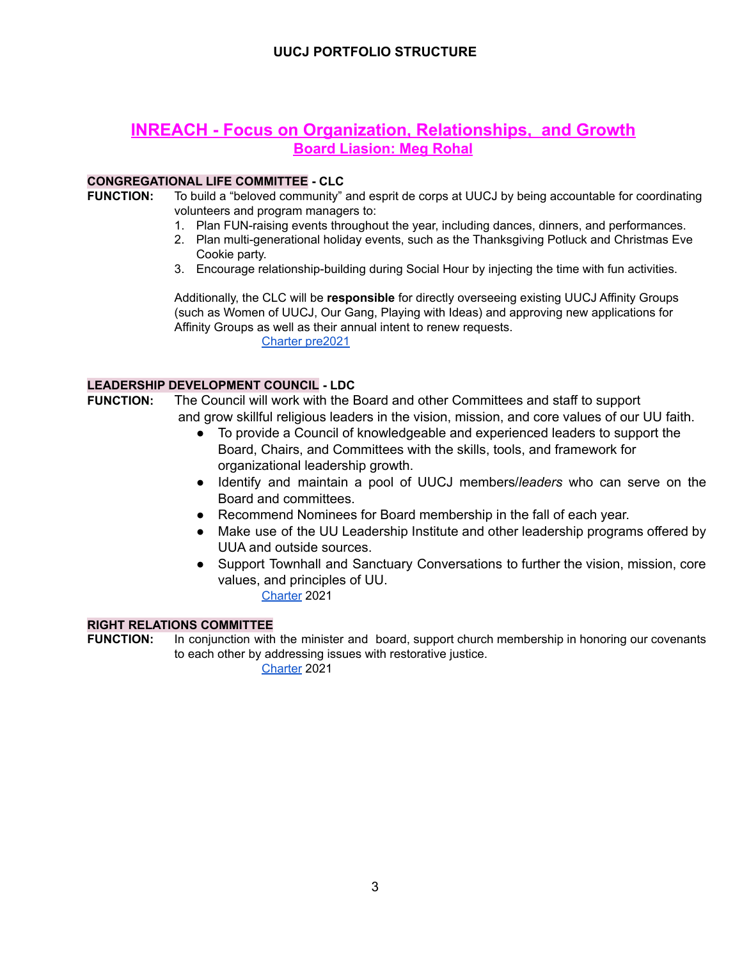# **INREACH - Focus on Organization, Relationships, and Growth Board Liasion: Meg Rohal**

### **CONGREGATIONAL LIFE COMMITTEE - CLC**

**FUNCTION:** To build a "beloved community" and esprit de corps at UUCJ by being accountable for coordinating volunteers and program managers to:

- 1. Plan FUN-raising events throughout the year, including dances, dinners, and performances.
- 2. Plan multi-generational holiday events, such as the Thanksgiving Potluck and Christmas Eve Cookie party.
- 3. Encourage relationship-building during Social Hour by injecting the time with fun activities.

Additionally, the CLC will be **responsible** for directly overseeing existing UUCJ Affinity Groups (such as Women of UUCJ, Our Gang, Playing with Ideas) and approving new applications for Affinity Groups as well as their annual intent to renew requests. Charter [pre2021](https://docs.google.com/document/d/1cdG31iuVmtSUkkehHl-B3c3HIPKBeN3H/edit?usp=sharing&ouid=108618410980892576551&rtpof=true&sd=true)

#### **LEADERSHIP DEVELOPMENT COUNCIL - LDC**

- **FUNCTION:** The Council will work with the Board and other Committees and staff to support and grow skillful religious leaders in the vision, mission, and core values of our UU faith.
	- To provide a Council of knowledgeable and experienced leaders to support the Board, Chairs, and Committees with the skills, tools, and framework for organizational leadership growth.
	- Identify and maintain a pool of UUCJ members/*leaders* who can serve on the Board and committees.
	- Recommend Nominees for Board membership in the fall of each year.
	- Make use of the UU Leadership Institute and other leadership programs offered by UUA and outside sources.
	- Support Townhall and Sanctuary Conversations to further the vision, mission, core values, and principles of UU. [Charter](https://docs.google.com/document/d/1y6LwGV2H8uVSzpAYDbhCZ2_E0M2tYqG5/edit?usp=sharing&ouid=108618410980892576551&rtpof=true&sd=true) 2021

#### **RIGHT RELATIONS COMMITTEE**

**FUNCTION:** In conjunction with the minister and board, support church membership in honoring our covenants to each other by addressing issues with restorative justice.

[Charter](https://docs.google.com/document/d/1OAsQRbS1r31T_mU-lPnAnB--9h04DkxS/edit?usp=sharing&ouid=108618410980892576551&rtpof=true&sd=true) 2021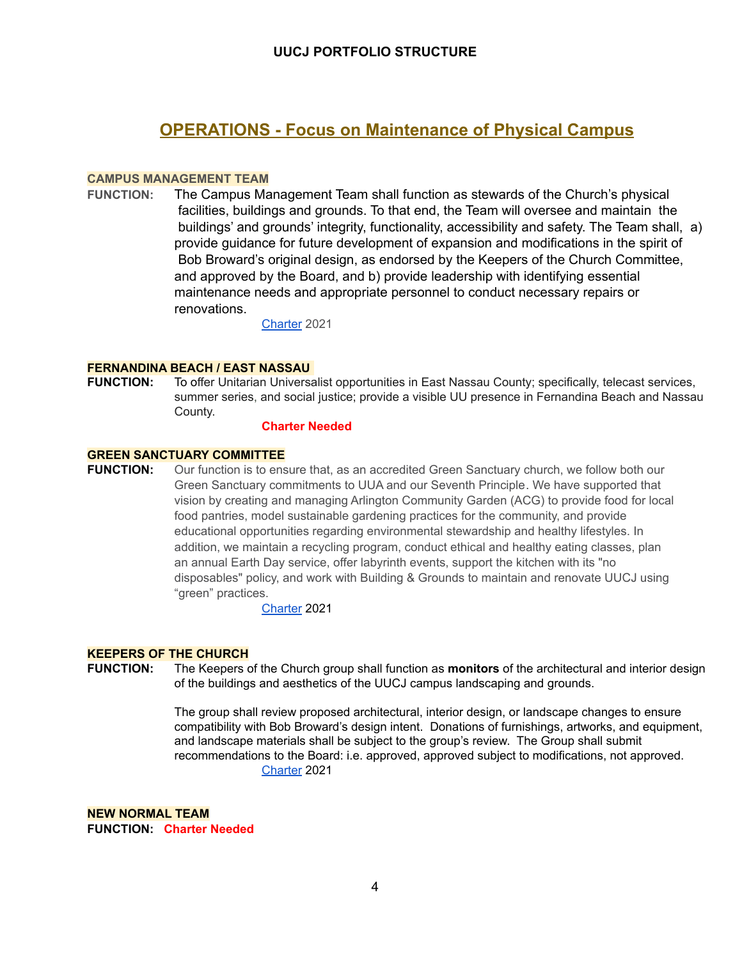# **OPERATIONS - Focus on Maintenance of Physical Campus**

#### **CAMPUS MANAGEMENT TEAM**

**FUNCTION:** The Campus Management Team shall function as stewards of the Church's physical facilities, buildings and grounds. To that end, the Team will oversee and maintain the buildings' and grounds' integrity, functionality, accessibility and safety. The Team shall, a) provide guidance for future development of expansion and modifications in the spirit of Bob Broward's original design, as endorsed by the Keepers of the Church Committee, and approved by the Board, and b) provide leadership with identifying essential maintenance needs and appropriate personnel to conduct necessary repairs or renovations.

[Charter](https://docs.google.com/document/d/1Eb9Fj6O_ECbIWv88AL34pE408fxbzlJ7/edit?usp=sharing&ouid=108618410980892576551&rtpof=true&sd=true) 2021

#### **FERNANDINA BEACH / EAST NASSAU**

**FUNCTION:** To offer Unitarian Universalist opportunities in East Nassau County; specifically, telecast services, summer series, and social justice; provide a visible UU presence in Fernandina Beach and Nassau County.

#### **Charter Needed**

#### **GREEN SANCTUARY COMMITTEE**

**FUNCTION:** Our function is to ensure that, as an accredited Green Sanctuary church, we follow both our Green Sanctuary commitments to UUA and our Seventh Principle. We have supported that vision by creating and managing Arlington Community Garden (ACG) to provide food for local food pantries, model sustainable gardening practices for the community, and provide educational opportunities regarding environmental stewardship and healthy lifestyles. In addition, we maintain a recycling program, conduct ethical and healthy eating classes, plan an annual Earth Day service, offer labyrinth events, support the kitchen with its "no disposables" policy, and work with Building & Grounds to maintain and renovate UUCJ using "green" practices.

[Charter](https://docs.google.com/document/d/1SIzVs4IKB9740i9oVoq-t7sE_VGv_lke/edit?usp=sharing&ouid=108618410980892576551&rtpof=true&sd=true) 2021

#### **KEEPERS OF THE CHURCH**

**FUNCTION:** The Keepers of the Church group shall function as **monitors** of the architectural and interior design of the buildings and aesthetics of the UUCJ campus landscaping and grounds.

> The group shall review proposed architectural, interior design, or landscape changes to ensure compatibility with Bob Broward's design intent. Donations of furnishings, artworks, and equipment, and landscape materials shall be subject to the group's review. The Group shall submit recommendations to the Board: i.e. approved, approved subject to modifications, not approved. [Charter](https://docs.google.com/document/d/1Eb9Fj6O_ECbIWv88AL34pE408fxbzlJ7/edit?usp=sharing&ouid=108618410980892576551&rtpof=true&sd=true) 2021

**NEW NORMAL TEAM FUNCTION: Charter Needed**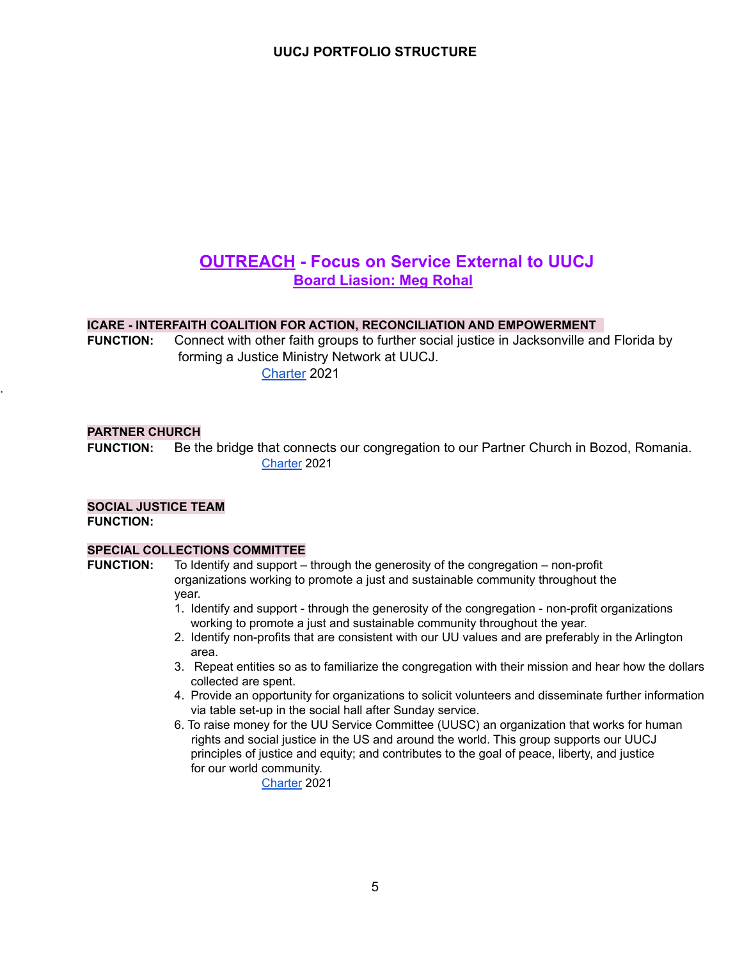# **OUTREACH - Focus on Service External to UUCJ Board Liasion: Meg Rohal**

#### **ICARE - INTERFAITH COALITION FOR ACTION, RECONCILIATION AND EMPOWERMENT**

**FUNCTION:** Connect with other faith groups to further social justice in Jacksonville and Florida by forming a Justice Ministry Network at UUCJ. [Charter](https://docs.google.com/document/d/1Qq3tBBkJoXNf9kZ1_dR-XArwYvyU8j2A/edit?usp=sharing&ouid=108618410980892576551&rtpof=true&sd=true) 2021

#### **PARTNER CHURCH**

.

**FUNCTION:** Be the bridge that connects our congregation to our Partner Church in Bozod, Romania. [Charter](https://docs.google.com/document/d/1RzEoiX3jUCCyao5usa6fzgu_51RTF-Ol/edit?usp=sharing&ouid=108618410980892576551&rtpof=true&sd=true) 2021

### **SOCIAL JUSTICE TEAM FUNCTION:**

#### **SPECIAL COLLECTIONS COMMITTEE**

**FUNCTION:** To Identify and support – through the generosity of the congregation – non-profit organizations working to promote a just and sustainable community throughout the year.

- 1. Identify and support through the generosity of the congregation non-profit organizations working to promote a just and sustainable community throughout the year.
- 2. Identify non-profits that are consistent with our UU values and are preferably in the Arlington area.
- 3. Repeat entities so as to familiarize the congregation with their mission and hear how the dollars collected are spent.
- 4. Provide an opportunity for organizations to solicit volunteers and disseminate further information via table set-up in the social hall after Sunday service.
- 6. To raise money for the UU Service Committee (UUSC) an organization that works for human rights and social justice in the US and around the world. This group supports our UUCJ principles of justice and equity; and contributes to the goal of peace, liberty, and justice for our world community.

[Charter](https://docs.google.com/document/d/15oqPIuU5JBDdq_LOm_yzP4HYS55FbBCb/edit?usp=sharing&ouid=108618410980892576551&rtpof=true&sd=true) 2021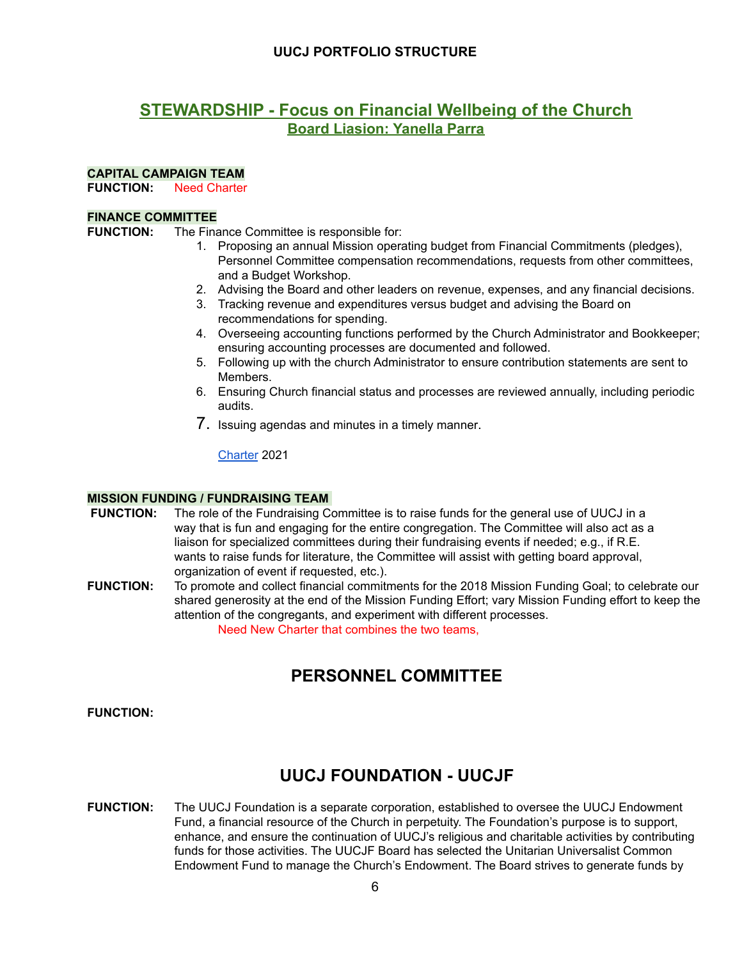# **STEWARDSHIP - Focus on Financial Wellbeing of the Church Board Liasion: Yanella Parra**

#### **CAPITAL CAMPAIGN TEAM**

**FUNCTION:** Need Charter

#### **FINANCE COMMITTEE**

- **FUNCTION:** The Finance Committee is responsible for:
	- 1. Proposing an annual Mission operating budget from Financial Commitments (pledges), Personnel Committee compensation recommendations, requests from other committees, and a Budget Workshop.
	- 2. Advising the Board and other leaders on revenue, expenses, and any financial decisions.
	- 3. Tracking revenue and expenditures versus budget and advising the Board on recommendations for spending.
	- 4. Overseeing accounting functions performed by the Church Administrator and Bookkeeper; ensuring accounting processes are documented and followed.
	- 5. Following up with the church Administrator to ensure contribution statements are sent to Members.
	- 6. Ensuring Church financial status and processes are reviewed annually, including periodic audits.
	- 7. Issuing agendas and minutes in a timely manner.

[Charter](https://docs.google.com/document/d/1N_BVGETbMbqSRHq1UWs60gqhMendyoJM/edit?usp=sharing&ouid=108618410980892576551&rtpof=true&sd=true) 2021

#### **MISSION FUNDING / FUNDRAISING TEAM**

- FUNCTION: The role of the Fundraising Committee is to raise funds for the general use of UUCJ in a way that is fun and engaging for the entire congregation. The Committee will also act as a liaison for specialized committees during their fundraising events if needed; e.g., if R.E. wants to raise funds for literature, the Committee will assist with getting board approval, organization of event if requested, etc.).
- **FUNCTION:** To promote and collect financial commitments for the 2018 Mission Funding Goal; to celebrate our shared generosity at the end of the Mission Funding Effort; vary Mission Funding effort to keep the attention of the congregants, and experiment with different processes. Need New Charter that combines the two teams,

# **PERSONNEL COMMITTEE**

**FUNCTION:**

# **UUCJ FOUNDATION - UUCJF**

**FUNCTION:** The UUCJ Foundation is a separate corporation, established to oversee the UUCJ Endowment Fund, a financial resource of the Church in perpetuity. The Foundation's purpose is to support, enhance, and ensure the continuation of UUCJ's religious and charitable activities by contributing funds for those activities. The UUCJF Board has selected the Unitarian Universalist Common Endowment Fund to manage the Church's Endowment. The Board strives to generate funds by